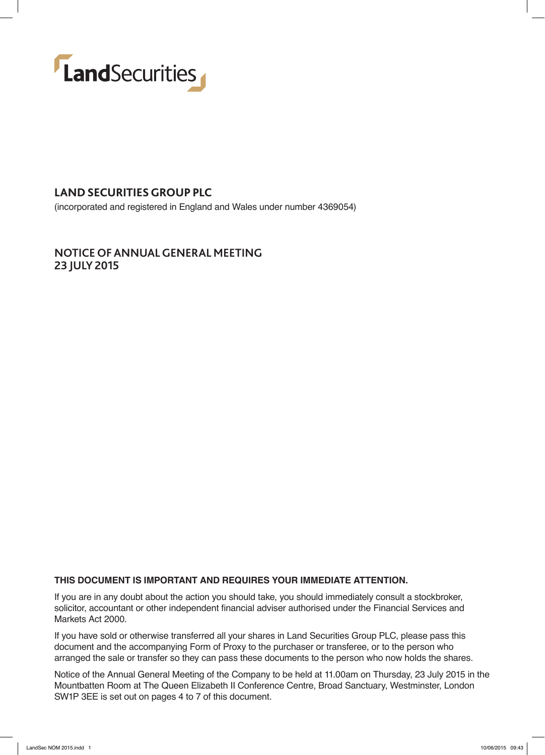

## **LAND SECURITIES GROUP PLC**

(incorporated and registered in England and Wales under number 4369054)

## **NOTICE OF ANNUAL GENERAL MEETING 23 JULY 2015**

### **THIS DOCUMENT IS IMPORTANT AND REQUIRES YOUR IMMEDIATE ATTENTION.**

If you are in any doubt about the action you should take, you should immediately consult a stockbroker, solicitor, accountant or other independent financial adviser authorised under the Financial Services and Markets Act 2000.

If you have sold or otherwise transferred all your shares in Land Securities Group PLC, please pass this document and the accompanying Form of Proxy to the purchaser or transferee, or to the person who arranged the sale or transfer so they can pass these documents to the person who now holds the shares.

Notice of the Annual General Meeting of the Company to be held at 11.00am on Thursday, 23 July 2015 in the Mountbatten Room at The Queen Elizabeth II Conference Centre, Broad Sanctuary, Westminster, London SW1P 3EE is set out on pages 4 to 7 of this document.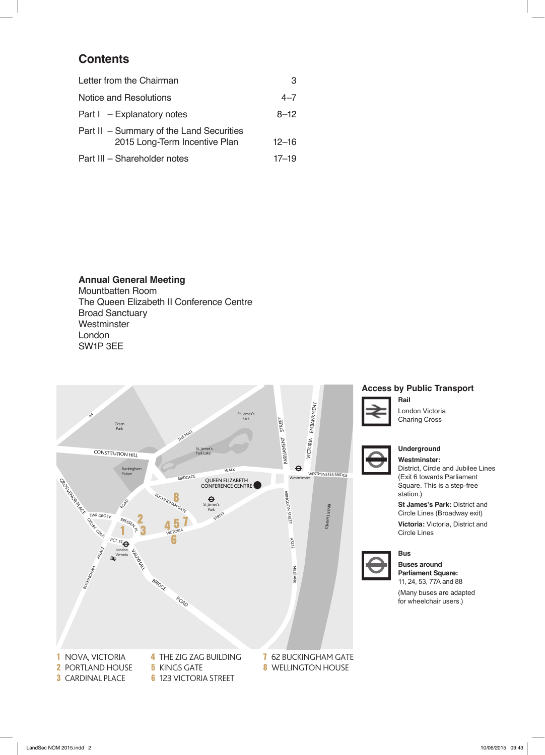# **Contents**

| Letter from the Chairman                                                  | З         |
|---------------------------------------------------------------------------|-----------|
| Notice and Resolutions                                                    | $4 - 7$   |
| Part $I -$ Explanatory notes                                              | $8 - 12$  |
| Part II - Summary of the Land Securities<br>2015 Long-Term Incentive Plan | $12 - 16$ |
| Part III - Shareholder notes                                              | $17 - 19$ |

#### **Annual General Meeting** Mountbatten Room The Queen Elizabeth II Conference Centre Broad Sanctuary **Westminster** London SW1P 3EE

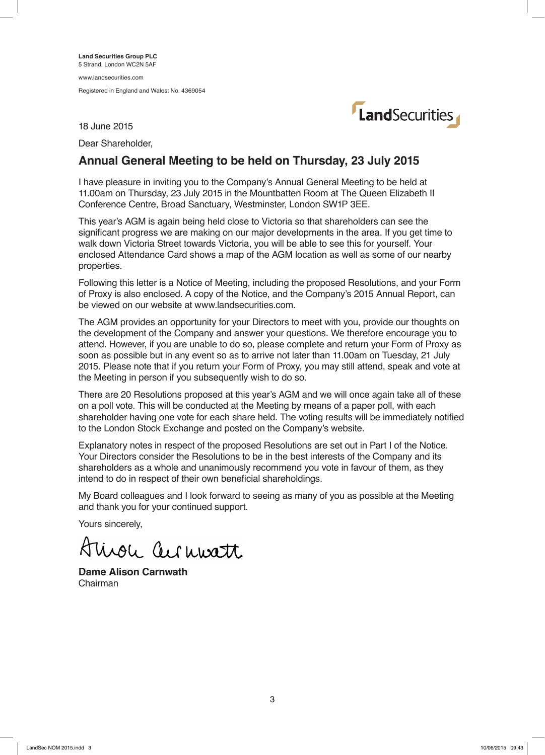www.landsecurities.com Registered in England and Wales: No. 4369054



18 June 2015

Dear Shareholder,

# **Annual General Meeting to be held on Thursday, 23 July 2015**

I have pleasure in inviting you to the Company's Annual General Meeting to be held at 11.00am on Thursday, 23 July 2015 in the Mountbatten Room at The Queen Elizabeth II Conference Centre, Broad Sanctuary, Westminster, London SW1P 3EE.

This year's AGM is again being held close to Victoria so that shareholders can see the significant progress we are making on our major developments in the area. If you get time to walk down Victoria Street towards Victoria, you will be able to see this for yourself. Your enclosed Attendance Card shows a map of the AGM location as well as some of our nearby properties.

Following this letter is a Notice of Meeting, including the proposed Resolutions, and your Form of Proxy is also enclosed. A copy of the Notice, and the Company's 2015 Annual Report, can be viewed on our website at www.landsecurities.com.

The AGM provides an opportunity for your Directors to meet with you, provide our thoughts on the development of the Company and answer your questions. We therefore encourage you to attend. However, if you are unable to do so, please complete and return your Form of Proxy as soon as possible but in any event so as to arrive not later than 11.00am on Tuesday, 21 July 2015. Please note that if you return your Form of Proxy, you may still attend, speak and vote at the Meeting in person if you subsequently wish to do so.

There are 20 Resolutions proposed at this year's AGM and we will once again take all of these on a poll vote. This will be conducted at the Meeting by means of a paper poll, with each shareholder having one vote for each share held. The voting results will be immediately notified to the London Stock Exchange and posted on the Company's website.

Explanatory notes in respect of the proposed Resolutions are set out in Part I of the Notice. Your Directors consider the Resolutions to be in the best interests of the Company and its shareholders as a whole and unanimously recommend you vote in favour of them, as they intend to do in respect of their own beneficial shareholdings.

My Board colleagues and I look forward to seeing as many of you as possible at the Meeting and thank you for your continued support.

Yours sincerely,

Tiron air mwatt

**Dame Alison Carnwath** Chairman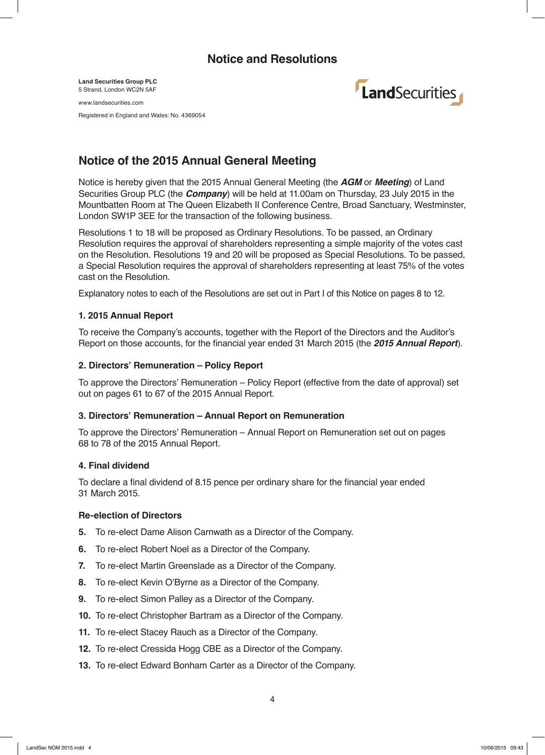**Land Securities Group PLC** 5 Strand, London WC2N 5AF

www.landsecurities.com Registered in England and Wales: No. 4369054



# **Notice of the 2015 Annual General Meeting**

Notice is hereby given that the 2015 Annual General Meeting (the *AGM* or *Meeting*) of Land Securities Group PLC (the *Company*) will be held at 11.00am on Thursday, 23 July 2015 in the Mountbatten Room at The Queen Elizabeth II Conference Centre, Broad Sanctuary, Westminster, London SW1P 3EE for the transaction of the following business.

Resolutions 1 to 18 will be proposed as Ordinary Resolutions. To be passed, an Ordinary Resolution requires the approval of shareholders representing a simple majority of the votes cast on the Resolution. Resolutions 19 and 20 will be proposed as Special Resolutions. To be passed, a Special Resolution requires the approval of shareholders representing at least 75% of the votes cast on the Resolution.

Explanatory notes to each of the Resolutions are set out in Part I of this Notice on pages 8 to 12.

### **1. 2015 Annual Report**

To receive the Company's accounts, together with the Report of the Directors and the Auditor's Report on those accounts, for the financial year ended 31 March 2015 (the *2015 Annual Report*).

### **2. Directors' Remuneration – Policy Report**

To approve the Directors' Remuneration – Policy Report (effective from the date of approval) set out on pages 61 to 67 of the 2015 Annual Report.

### **3. Directors' Remuneration – Annual Report on Remuneration**

To approve the Directors' Remuneration – Annual Report on Remuneration set out on pages 68 to 78 of the 2015 Annual Report.

#### **4. Final dividend**

To declare a final dividend of 8.15 pence per ordinary share for the financial year ended 31 March 2015.

#### **Re-election of Directors**

- **5.** To re-elect Dame Alison Carnwath as a Director of the Company.
- **6.** To re-elect Robert Noel as a Director of the Company.
- **7.** To re-elect Martin Greenslade as a Director of the Company.
- **8.** To re-elect Kevin O'Byrne as a Director of the Company.
- **9.** To re-elect Simon Palley as a Director of the Company.
- **10.** To re-elect Christopher Bartram as a Director of the Company.
- **11.** To re-elect Stacey Rauch as a Director of the Company.
- **12.** To re-elect Cressida Hogg CBE as a Director of the Company.
- **13.** To re-elect Edward Bonham Carter as a Director of the Company.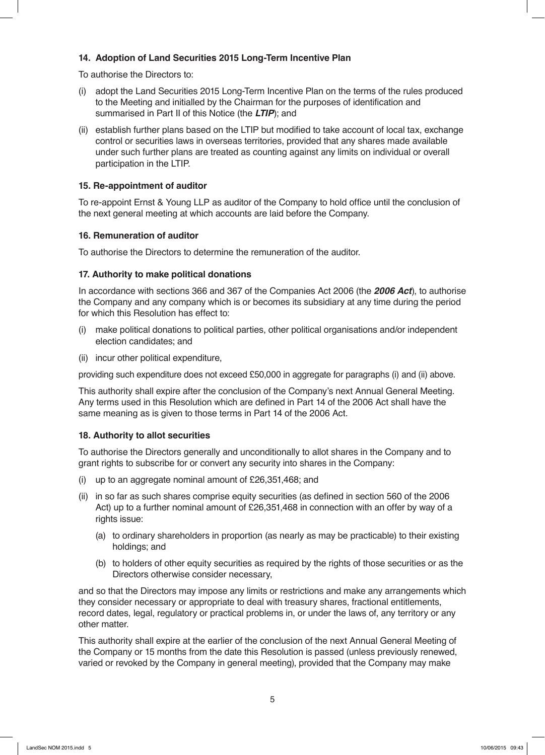## **14. Adoption of Land Securities 2015 Long-Term Incentive Plan**

To authorise the Directors to:

- (i) adopt the Land Securities 2015 Long-Term Incentive Plan on the terms of the rules produced to the Meeting and initialled by the Chairman for the purposes of identification and summarised in Part II of this Notice (the *LTIP*); and
- (ii) establish further plans based on the LTIP but modified to take account of local tax, exchange control or securities laws in overseas territories, provided that any shares made available under such further plans are treated as counting against any limits on individual or overall participation in the LTIP.

## **15. Re-appointment of auditor**

To re-appoint Ernst & Young LLP as auditor of the Company to hold office until the conclusion of the next general meeting at which accounts are laid before the Company.

## **16. Remuneration of auditor**

To authorise the Directors to determine the remuneration of the auditor.

## **17. Authority to make political donations**

In accordance with sections 366 and 367 of the Companies Act 2006 (the *2006 Act*), to authorise the Company and any company which is or becomes its subsidiary at any time during the period for which this Resolution has effect to:

- (i) make political donations to political parties, other political organisations and/or independent election candidates; and
- (ii) incur other political expenditure,

providing such expenditure does not exceed £50,000 in aggregate for paragraphs (i) and (ii) above.

This authority shall expire after the conclusion of the Company's next Annual General Meeting. Any terms used in this Resolution which are defined in Part 14 of the 2006 Act shall have the same meaning as is given to those terms in Part 14 of the 2006 Act.

## **18. Authority to allot securities**

To authorise the Directors generally and unconditionally to allot shares in the Company and to grant rights to subscribe for or convert any security into shares in the Company:

- (i) up to an aggregate nominal amount of £26,351,468; and
- (ii) in so far as such shares comprise equity securities (as defined in section 560 of the 2006 Act) up to a further nominal amount of £26,351,468 in connection with an offer by way of a rights issue:
	- (a) to ordinary shareholders in proportion (as nearly as may be practicable) to their existing holdings; and
	- (b) to holders of other equity securities as required by the rights of those securities or as the Directors otherwise consider necessary,

and so that the Directors may impose any limits or restrictions and make any arrangements which they consider necessary or appropriate to deal with treasury shares, fractional entitlements, record dates, legal, regulatory or practical problems in, or under the laws of, any territory or any other matter.

This authority shall expire at the earlier of the conclusion of the next Annual General Meeting of the Company or 15 months from the date this Resolution is passed (unless previously renewed, varied or revoked by the Company in general meeting), provided that the Company may make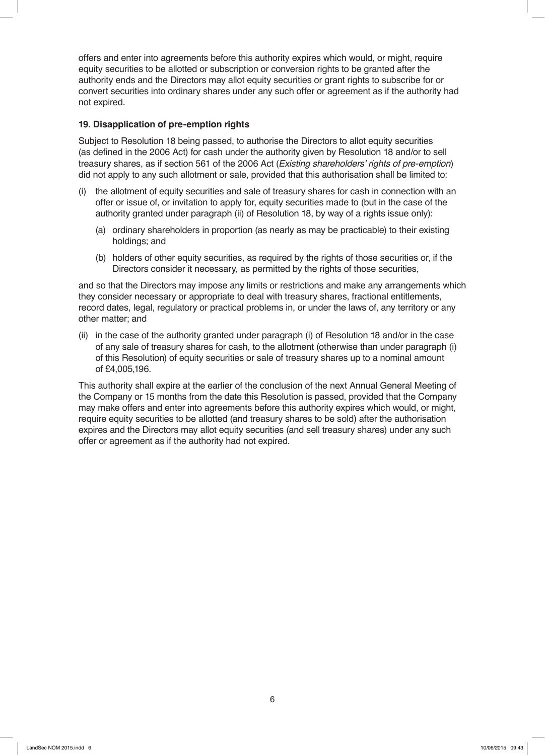offers and enter into agreements before this authority expires which would, or might, require equity securities to be allotted or subscription or conversion rights to be granted after the authority ends and the Directors may allot equity securities or grant rights to subscribe for or convert securities into ordinary shares under any such offer or agreement as if the authority had not expired.

### **19. Disapplication of pre-emption rights**

Subject to Resolution 18 being passed, to authorise the Directors to allot equity securities (as defined in the 2006 Act) for cash under the authority given by Resolution 18 and/or to sell treasury shares, as if section 561 of the 2006 Act (Existing shareholders' rights of pre-emption) did not apply to any such allotment or sale, provided that this authorisation shall be limited to:

- (i) the allotment of equity securities and sale of treasury shares for cash in connection with an offer or issue of, or invitation to apply for, equity securities made to (but in the case of the authority granted under paragraph (ii) of Resolution 18, by way of a rights issue only):
	- (a) ordinary shareholders in proportion (as nearly as may be practicable) to their existing holdings; and
	- (b) holders of other equity securities, as required by the rights of those securities or, if the Directors consider it necessary, as permitted by the rights of those securities,

and so that the Directors may impose any limits or restrictions and make any arrangements which they consider necessary or appropriate to deal with treasury shares, fractional entitlements, record dates, legal, regulatory or practical problems in, or under the laws of, any territory or any other matter; and

(ii) in the case of the authority granted under paragraph (i) of Resolution 18 and/or in the case of any sale of treasury shares for cash, to the allotment (otherwise than under paragraph (i) of this Resolution) of equity securities or sale of treasury shares up to a nominal amount of £4,005,196.

This authority shall expire at the earlier of the conclusion of the next Annual General Meeting of the Company or 15 months from the date this Resolution is passed, provided that the Company may make offers and enter into agreements before this authority expires which would, or might, require equity securities to be allotted (and treasury shares to be sold) after the authorisation expires and the Directors may allot equity securities (and sell treasury shares) under any such offer or agreement as if the authority had not expired.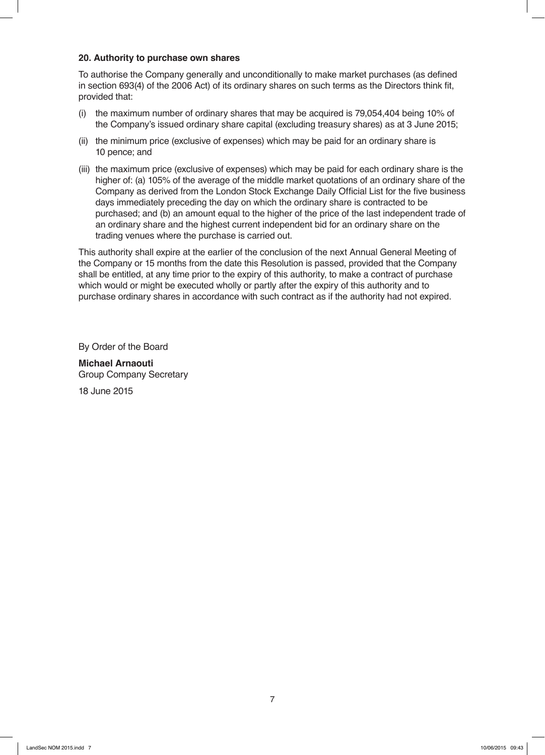### **20. Authority to purchase own shares**

To authorise the Company generally and unconditionally to make market purchases (as defined in section 693(4) of the 2006 Act) of its ordinary shares on such terms as the Directors think fit, provided that:

- (i) the maximum number of ordinary shares that may be acquired is 79,054,404 being 10% of the Company's issued ordinary share capital (excluding treasury shares) as at 3 June 2015;
- (ii) the minimum price (exclusive of expenses) which may be paid for an ordinary share is 10 pence; and
- (iii) the maximum price (exclusive of expenses) which may be paid for each ordinary share is the higher of: (a) 105% of the average of the middle market quotations of an ordinary share of the Company as derived from the London Stock Exchange Daily Official List for the five business days immediately preceding the day on which the ordinary share is contracted to be purchased; and (b) an amount equal to the higher of the price of the last independent trade of an ordinary share and the highest current independent bid for an ordinary share on the trading venues where the purchase is carried out.

This authority shall expire at the earlier of the conclusion of the next Annual General Meeting of the Company or 15 months from the date this Resolution is passed, provided that the Company shall be entitled, at any time prior to the expiry of this authority, to make a contract of purchase which would or might be executed wholly or partly after the expiry of this authority and to purchase ordinary shares in accordance with such contract as if the authority had not expired.

By Order of the Board

**Michael Arnaouti** Group Company Secretary

18 June 2015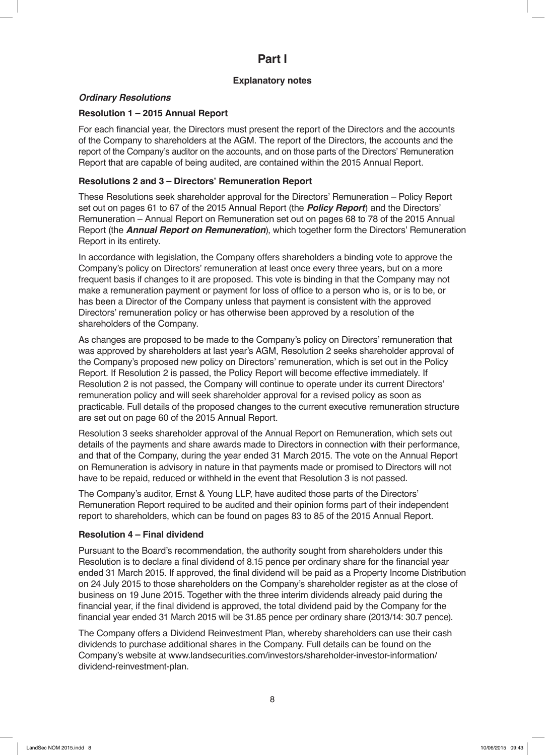# **Part I**

## **Explanatory notes**

## *Ordinary Resolutions*

## **Resolution 1 – 2015 Annual Report**

For each financial year, the Directors must present the report of the Directors and the accounts of the Company to shareholders at the AGM. The report of the Directors, the accounts and the report of the Company's auditor on the accounts, and on those parts of the Directors' Remuneration Report that are capable of being audited, are contained within the 2015 Annual Report.

## **Resolutions 2 and 3 – Directors' Remuneration Report**

These Resolutions seek shareholder approval for the Directors' Remuneration – Policy Report set out on pages 61 to 67 of the 2015 Annual Report (the *Policy Report*) and the Directors' Remuneration – Annual Report on Remuneration set out on pages 68 to 78 of the 2015 Annual Report (the *Annual Report on Remuneration*), which together form the Directors' Remuneration Report in its entirety.

In accordance with legislation, the Company offers shareholders a binding vote to approve the Company's policy on Directors' remuneration at least once every three years, but on a more frequent basis if changes to it are proposed. This vote is binding in that the Company may not make a remuneration payment or payment for loss of office to a person who is, or is to be, or has been a Director of the Company unless that payment is consistent with the approved Directors' remuneration policy or has otherwise been approved by a resolution of the shareholders of the Company.

As changes are proposed to be made to the Company's policy on Directors' remuneration that was approved by shareholders at last year's AGM, Resolution 2 seeks shareholder approval of the Company's proposed new policy on Directors' remuneration, which is set out in the Policy Report. If Resolution 2 is passed, the Policy Report will become effective immediately. If Resolution 2 is not passed, the Company will continue to operate under its current Directors' remuneration policy and will seek shareholder approval for a revised policy as soon as practicable. Full details of the proposed changes to the current executive remuneration structure are set out on page 60 of the 2015 Annual Report.

Resolution 3 seeks shareholder approval of the Annual Report on Remuneration, which sets out details of the payments and share awards made to Directors in connection with their performance, and that of the Company, during the year ended 31 March 2015. The vote on the Annual Report on Remuneration is advisory in nature in that payments made or promised to Directors will not have to be repaid, reduced or withheld in the event that Resolution 3 is not passed.

The Company's auditor, Ernst & Young LLP, have audited those parts of the Directors' Remuneration Report required to be audited and their opinion forms part of their independent report to shareholders, which can be found on pages 83 to 85 of the 2015 Annual Report.

## **Resolution 4 – Final dividend**

Pursuant to the Board's recommendation, the authority sought from shareholders under this Resolution is to declare a final dividend of 8.15 pence per ordinary share for the financial year ended 31 March 2015. If approved, the final dividend will be paid as a Property Income Distribution on 24 July 2015 to those shareholders on the Company's shareholder register as at the close of business on 19 June 2015. Together with the three interim dividends already paid during the financial year, if the final dividend is approved, the total dividend paid by the Company for the financial year ended 31 March 2015 will be 31.85 pence per ordinary share (2013/14: 30.7 pence).

The Company offers a Dividend Reinvestment Plan, whereby shareholders can use their cash dividends to purchase additional shares in the Company. Full details can be found on the Company's website at www.landsecurities.com/investors/shareholder-investor-information/ dividend-reinvestment-plan.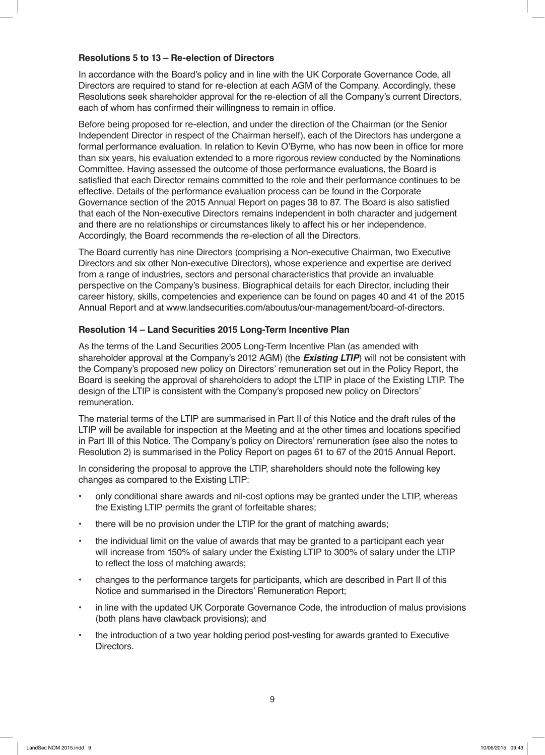## **Resolutions 5 to 13 – Re-election of Directors**

In accordance with the Board's policy and in line with the UK Corporate Governance Code, all Directors are required to stand for re-election at each AGM of the Company. Accordingly, these Resolutions seek shareholder approval for the re-election of all the Company's current Directors, each of whom has confirmed their willingness to remain in office.

Before being proposed for re-election, and under the direction of the Chairman (or the Senior Independent Director in respect of the Chairman herself), each of the Directors has undergone a formal performance evaluation. In relation to Kevin O'Byrne, who has now been in office for more than six years, his evaluation extended to a more rigorous review conducted by the Nominations Committee. Having assessed the outcome of those performance evaluations, the Board is satisfied that each Director remains committed to the role and their performance continues to be effective. Details of the performance evaluation process can be found in the Corporate Governance section of the 2015 Annual Report on pages 38 to 87. The Board is also satisfied that each of the Non-executive Directors remains independent in both character and judgement and there are no relationships or circumstances likely to affect his or her independence. Accordingly, the Board recommends the re-election of all the Directors.

The Board currently has nine Directors (comprising a Non-executive Chairman, two Executive Directors and six other Non-executive Directors), whose experience and expertise are derived from a range of industries, sectors and personal characteristics that provide an invaluable perspective on the Company's business. Biographical details for each Director, including their career history, skills, competencies and experience can be found on pages 40 and 41 of the 2015 Annual Report and at www.landsecurities.com/aboutus/our-management/board-of-directors.

### **Resolution 14 – Land Securities 2015 Long-Term Incentive Plan**

As the terms of the Land Securities 2005 Long-Term Incentive Plan (as amended with shareholder approval at the Company's 2012 AGM) (the *Existing LTIP*) will not be consistent with the Company's proposed new policy on Directors' remuneration set out in the Policy Report, the Board is seeking the approval of shareholders to adopt the LTIP in place of the Existing LTIP. The design of the LTIP is consistent with the Company's proposed new policy on Directors' remuneration.

The material terms of the LTIP are summarised in Part II of this Notice and the draft rules of the LTIP will be available for inspection at the Meeting and at the other times and locations specified in Part III of this Notice. The Company's policy on Directors' remuneration (see also the notes to Resolution 2) is summarised in the Policy Report on pages 61 to 67 of the 2015 Annual Report.

In considering the proposal to approve the LTIP, shareholders should note the following key changes as compared to the Existing LTIP:

- only conditional share awards and nil-cost options may be granted under the LTIP, whereas the Existing LTIP permits the grant of forfeitable shares;
- there will be no provision under the LTIP for the grant of matching awards;
- the individual limit on the value of awards that may be granted to a participant each year will increase from 150% of salary under the Existing LTIP to 300% of salary under the LTIP to reflect the loss of matching awards;
- changes to the performance targets for participants, which are described in Part II of this Notice and summarised in the Directors' Remuneration Report;
- in line with the updated UK Corporate Governance Code, the introduction of malus provisions (both plans have clawback provisions); and
- the introduction of a two year holding period post-vesting for awards granted to Executive Directors.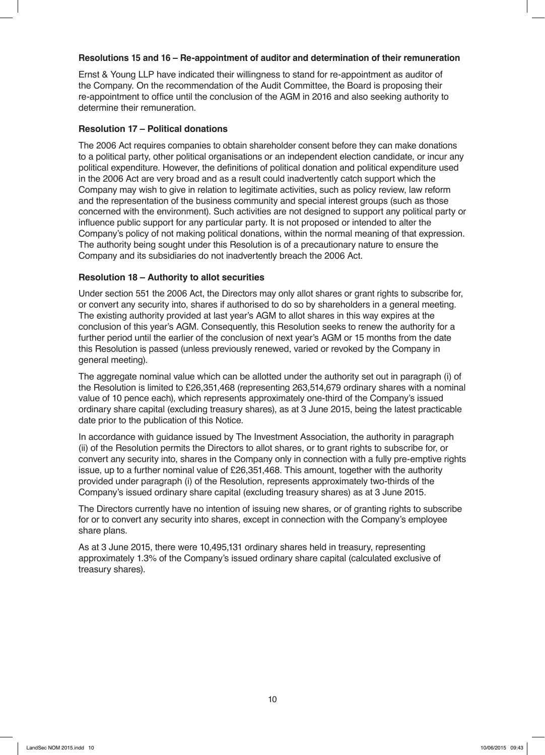### **Resolutions 15 and 16 – Re-appointment of auditor and determination of their remuneration**

Ernst & Young LLP have indicated their willingness to stand for re-appointment as auditor of the Company. On the recommendation of the Audit Committee, the Board is proposing their re‑appointment to office until the conclusion of the AGM in 2016 and also seeking authority to determine their remuneration.

### **Resolution 17 – Political donations**

The 2006 Act requires companies to obtain shareholder consent before they can make donations to a political party, other political organisations or an independent election candidate, or incur any political expenditure. However, the definitions of political donation and political expenditure used in the 2006 Act are very broad and as a result could inadvertently catch support which the Company may wish to give in relation to legitimate activities, such as policy review, law reform and the representation of the business community and special interest groups (such as those concerned with the environment). Such activities are not designed to support any political party or influence public support for any particular party. It is not proposed or intended to alter the Company's policy of not making political donations, within the normal meaning of that expression. The authority being sought under this Resolution is of a precautionary nature to ensure the Company and its subsidiaries do not inadvertently breach the 2006 Act.

### **Resolution 18 – Authority to allot securities**

Under section 551 the 2006 Act, the Directors may only allot shares or grant rights to subscribe for, or convert any security into, shares if authorised to do so by shareholders in a general meeting. The existing authority provided at last year's AGM to allot shares in this way expires at the conclusion of this year's AGM. Consequently, this Resolution seeks to renew the authority for a further period until the earlier of the conclusion of next year's AGM or 15 months from the date this Resolution is passed (unless previously renewed, varied or revoked by the Company in general meeting).

The aggregate nominal value which can be allotted under the authority set out in paragraph (i) of the Resolution is limited to £26,351,468 (representing 263,514,679 ordinary shares with a nominal value of 10 pence each), which represents approximately one-third of the Company's issued ordinary share capital (excluding treasury shares), as at 3 June 2015, being the latest practicable date prior to the publication of this Notice.

In accordance with guidance issued by The Investment Association, the authority in paragraph (ii) of the Resolution permits the Directors to allot shares, or to grant rights to subscribe for, or convert any security into, shares in the Company only in connection with a fully pre-emptive rights issue, up to a further nominal value of £26,351,468. This amount, together with the authority provided under paragraph (i) of the Resolution, represents approximately two‑thirds of the Company's issued ordinary share capital (excluding treasury shares) as at 3 June 2015.

The Directors currently have no intention of issuing new shares, or of granting rights to subscribe for or to convert any security into shares, except in connection with the Company's employee share plans.

As at 3 June 2015, there were 10,495,131 ordinary shares held in treasury, representing approximately 1.3% of the Company's issued ordinary share capital (calculated exclusive of treasury shares).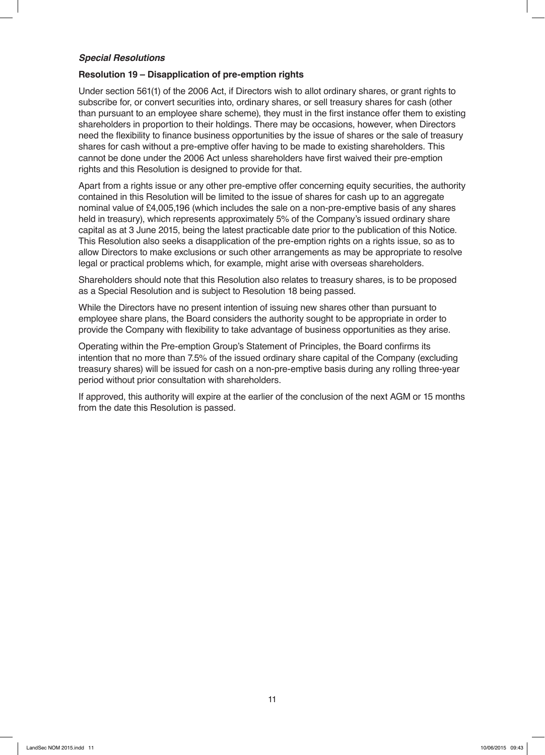## *Special Resolutions*

### **Resolution 19 – Disapplication of pre-emption rights**

Under section 561(1) of the 2006 Act, if Directors wish to allot ordinary shares, or grant rights to subscribe for, or convert securities into, ordinary shares, or sell treasury shares for cash (other than pursuant to an employee share scheme), they must in the first instance offer them to existing shareholders in proportion to their holdings. There may be occasions, however, when Directors need the flexibility to finance business opportunities by the issue of shares or the sale of treasury shares for cash without a pre-emptive offer having to be made to existing shareholders. This cannot be done under the 2006 Act unless shareholders have first waived their pre-emption rights and this Resolution is designed to provide for that.

Apart from a rights issue or any other pre-emptive offer concerning equity securities, the authority contained in this Resolution will be limited to the issue of shares for cash up to an aggregate nominal value of £4,005,196 (which includes the sale on a non-pre-emptive basis of any shares held in treasury), which represents approximately 5% of the Company's issued ordinary share capital as at 3 June 2015, being the latest practicable date prior to the publication of this Notice. This Resolution also seeks a disapplication of the pre-emption rights on a rights issue, so as to allow Directors to make exclusions or such other arrangements as may be appropriate to resolve legal or practical problems which, for example, might arise with overseas shareholders.

Shareholders should note that this Resolution also relates to treasury shares, is to be proposed as a Special Resolution and is subject to Resolution 18 being passed.

While the Directors have no present intention of issuing new shares other than pursuant to employee share plans, the Board considers the authority sought to be appropriate in order to provide the Company with flexibility to take advantage of business opportunities as they arise.

Operating within the Pre-emption Group's Statement of Principles, the Board confirms its intention that no more than 7.5% of the issued ordinary share capital of the Company (excluding treasury shares) will be issued for cash on a non-pre-emptive basis during any rolling three-year period without prior consultation with shareholders.

If approved, this authority will expire at the earlier of the conclusion of the next AGM or 15 months from the date this Resolution is passed.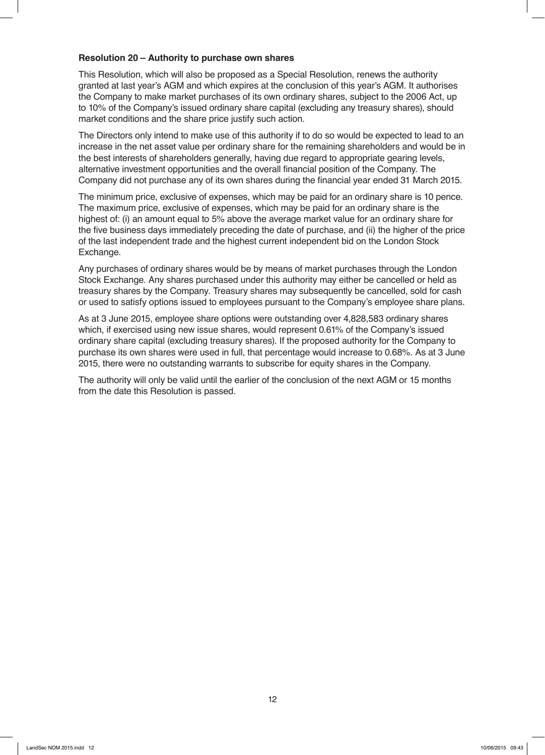### **Resolution 20 – Authority to purchase own shares**

This Resolution, which will also be proposed as a Special Resolution, renews the authority granted at last year's AGM and which expires at the conclusion of this year's AGM. It authorises the Company to make market purchases of its own ordinary shares, subject to the 2006 Act, up to 10% of the Company's issued ordinary share capital (excluding any treasury shares), should market conditions and the share price justify such action.

The Directors only intend to make use of this authority if to do so would be expected to lead to an increase in the net asset value per ordinary share for the remaining shareholders and would be in the best interests of shareholders generally, having due regard to appropriate gearing levels, alternative investment opportunities and the overall financial position of the Company. The Company did not purchase any of its own shares during the financial year ended 31 March 2015.

The minimum price, exclusive of expenses, which may be paid for an ordinary share is 10 pence. The maximum price, exclusive of expenses, which may be paid for an ordinary share is the highest of: (i) an amount equal to 5% above the average market value for an ordinary share for the five business days immediately preceding the date of purchase, and (ii) the higher of the price of the last independent trade and the highest current independent bid on the London Stock Exchange.

Any purchases of ordinary shares would be by means of market purchases through the London Stock Exchange. Any shares purchased under this authority may either be cancelled or held as treasury shares by the Company. Treasury shares may subsequently be cancelled, sold for cash or used to satisfy options issued to employees pursuant to the Company's employee share plans.

As at 3 June 2015, employee share options were outstanding over 4,828,583 ordinary shares which, if exercised using new issue shares, would represent 0.61% of the Company's issued ordinary share capital (excluding treasury shares). If the proposed authority for the Company to purchase its own shares were used in full, that percentage would increase to 0.68%. As at 3 June 2015, there were no outstanding warrants to subscribe for equity shares in the Company.

The authority will only be valid until the earlier of the conclusion of the next AGM or 15 months from the date this Resolution is passed.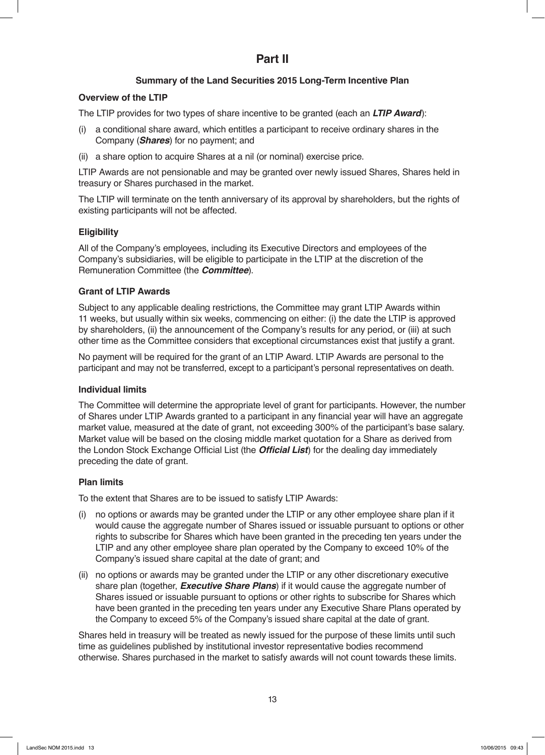# **Part II**

## **Summary of the Land Securities 2015 Long-Term Incentive Plan**

### **Overview of the LTIP**

The LTIP provides for two types of share incentive to be granted (each an *LTIP Award*):

- (i) a conditional share award, which entitles a participant to receive ordinary shares in the Company (*Shares*) for no payment; and
- (ii) a share option to acquire Shares at a nil (or nominal) exercise price.

LTIP Awards are not pensionable and may be granted over newly issued Shares, Shares held in treasury or Shares purchased in the market.

The LTIP will terminate on the tenth anniversary of its approval by shareholders, but the rights of existing participants will not be affected.

### **Eligibility**

All of the Company's employees, including its Executive Directors and employees of the Company's subsidiaries, will be eligible to participate in the LTIP at the discretion of the Remuneration Committee (the *Committee*).

#### **Grant of LTIP Awards**

Subject to any applicable dealing restrictions, the Committee may grant LTIP Awards within 11 weeks, but usually within six weeks, commencing on either: (i) the date the LTIP is approved by shareholders, (ii) the announcement of the Company's results for any period, or (iii) at such other time as the Committee considers that exceptional circumstances exist that justify a grant.

No payment will be required for the grant of an LTIP Award. LTIP Awards are personal to the participant and may not be transferred, except to a participant's personal representatives on death.

#### **Individual limits**

The Committee will determine the appropriate level of grant for participants. However, the number of Shares under LTIP Awards granted to a participant in any financial year will have an aggregate market value, measured at the date of grant, not exceeding 300% of the participant's base salary. Market value will be based on the closing middle market quotation for a Share as derived from the London Stock Exchange Official List (the **Official List**) for the dealing day immediately preceding the date of grant.

### **Plan limits**

To the extent that Shares are to be issued to satisfy LTIP Awards:

- (i) no options or awards may be granted under the LTIP or any other employee share plan if it would cause the aggregate number of Shares issued or issuable pursuant to options or other rights to subscribe for Shares which have been granted in the preceding ten years under the LTIP and any other employee share plan operated by the Company to exceed 10% of the Company's issued share capital at the date of grant; and
- (ii) no options or awards may be granted under the LTIP or any other discretionary executive share plan (together, *Executive Share Plans*) if it would cause the aggregate number of Shares issued or issuable pursuant to options or other rights to subscribe for Shares which have been granted in the preceding ten years under any Executive Share Plans operated by the Company to exceed 5% of the Company's issued share capital at the date of grant.

Shares held in treasury will be treated as newly issued for the purpose of these limits until such time as guidelines published by institutional investor representative bodies recommend otherwise. Shares purchased in the market to satisfy awards will not count towards these limits.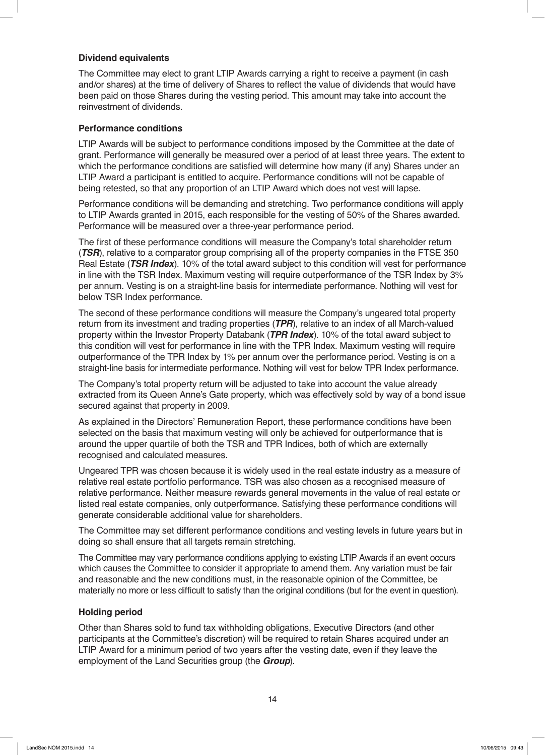### **Dividend equivalents**

The Committee may elect to grant LTIP Awards carrying a right to receive a payment (in cash and/or shares) at the time of delivery of Shares to reflect the value of dividends that would have been paid on those Shares during the vesting period. This amount may take into account the reinvestment of dividends.

### **Performance conditions**

LTIP Awards will be subject to performance conditions imposed by the Committee at the date of grant. Performance will generally be measured over a period of at least three years. The extent to which the performance conditions are satisfied will determine how many (if any) Shares under an LTIP Award a participant is entitled to acquire. Performance conditions will not be capable of being retested, so that any proportion of an LTIP Award which does not vest will lapse.

Performance conditions will be demanding and stretching. Two performance conditions will apply to LTIP Awards granted in 2015, each responsible for the vesting of 50% of the Shares awarded. Performance will be measured over a three-year performance period.

The first of these performance conditions will measure the Company's total shareholder return (*TSR*), relative to a comparator group comprising all of the property companies in the FTSE 350 Real Estate (*TSR Index*). 10% of the total award subject to this condition will vest for performance in line with the TSR Index. Maximum vesting will require outperformance of the TSR Index by 3% per annum. Vesting is on a straight-line basis for intermediate performance. Nothing will vest for below TSR Index performance.

The second of these performance conditions will measure the Company's ungeared total property return from its investment and trading properties (*TPR*), relative to an index of all March-valued property within the Investor Property Databank (*TPR Index*). 10% of the total award subject to this condition will vest for performance in line with the TPR Index. Maximum vesting will require outperformance of the TPR Index by 1% per annum over the performance period. Vesting is on a straight-line basis for intermediate performance. Nothing will vest for below TPR Index performance.

The Company's total property return will be adjusted to take into account the value already extracted from its Queen Anne's Gate property, which was effectively sold by way of a bond issue secured against that property in 2009.

As explained in the Directors' Remuneration Report, these performance conditions have been selected on the basis that maximum vesting will only be achieved for outperformance that is around the upper quartile of both the TSR and TPR Indices, both of which are externally recognised and calculated measures.

Ungeared TPR was chosen because it is widely used in the real estate industry as a measure of relative real estate portfolio performance. TSR was also chosen as a recognised measure of relative performance. Neither measure rewards general movements in the value of real estate or listed real estate companies, only outperformance. Satisfying these performance conditions will generate considerable additional value for shareholders.

The Committee may set different performance conditions and vesting levels in future years but in doing so shall ensure that all targets remain stretching.

The Committee may vary performance conditions applying to existing LTIP Awards if an event occurs which causes the Committee to consider it appropriate to amend them. Any variation must be fair and reasonable and the new conditions must, in the reasonable opinion of the Committee, be materially no more or less difficult to satisfy than the original conditions (but for the event in question).

### **Holding period**

Other than Shares sold to fund tax withholding obligations, Executive Directors (and other participants at the Committee's discretion) will be required to retain Shares acquired under an LTIP Award for a minimum period of two years after the vesting date, even if they leave the employment of the Land Securities group (the *Group*).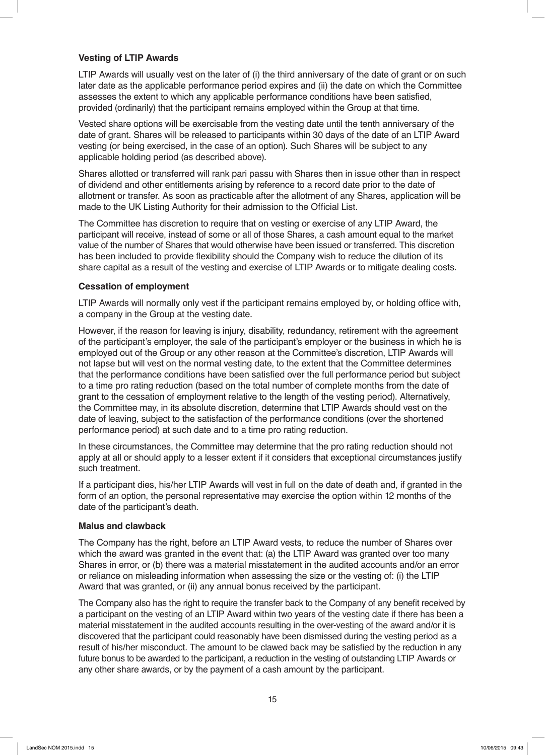### **Vesting of LTIP Awards**

LTIP Awards will usually vest on the later of (i) the third anniversary of the date of grant or on such later date as the applicable performance period expires and (ii) the date on which the Committee assesses the extent to which any applicable performance conditions have been satisfied, provided (ordinarily) that the participant remains employed within the Group at that time.

Vested share options will be exercisable from the vesting date until the tenth anniversary of the date of grant. Shares will be released to participants within 30 days of the date of an LTIP Award vesting (or being exercised, in the case of an option). Such Shares will be subject to any applicable holding period (as described above).

Shares allotted or transferred will rank pari passu with Shares then in issue other than in respect of dividend and other entitlements arising by reference to a record date prior to the date of allotment or transfer. As soon as practicable after the allotment of any Shares, application will be made to the UK Listing Authority for their admission to the Official List.

The Committee has discretion to require that on vesting or exercise of any LTIP Award, the participant will receive, instead of some or all of those Shares, a cash amount equal to the market value of the number of Shares that would otherwise have been issued or transferred. This discretion has been included to provide flexibility should the Company wish to reduce the dilution of its share capital as a result of the vesting and exercise of LTIP Awards or to mitigate dealing costs.

### **Cessation of employment**

LTIP Awards will normally only vest if the participant remains employed by, or holding office with, a company in the Group at the vesting date.

However, if the reason for leaving is injury, disability, redundancy, retirement with the agreement of the participant's employer, the sale of the participant's employer or the business in which he is employed out of the Group or any other reason at the Committee's discretion, LTIP Awards will not lapse but will vest on the normal vesting date, to the extent that the Committee determines that the performance conditions have been satisfied over the full performance period but subject to a time pro rating reduction (based on the total number of complete months from the date of grant to the cessation of employment relative to the length of the vesting period). Alternatively, the Committee may, in its absolute discretion, determine that LTIP Awards should vest on the date of leaving, subject to the satisfaction of the performance conditions (over the shortened performance period) at such date and to a time pro rating reduction.

In these circumstances, the Committee may determine that the pro rating reduction should not apply at all or should apply to a lesser extent if it considers that exceptional circumstances justify such treatment.

If a participant dies, his/her LTIP Awards will vest in full on the date of death and, if granted in the form of an option, the personal representative may exercise the option within 12 months of the date of the participant's death.

#### **Malus and clawback**

The Company has the right, before an LTIP Award vests, to reduce the number of Shares over which the award was granted in the event that: (a) the LTIP Award was granted over too many Shares in error, or (b) there was a material misstatement in the audited accounts and/or an error or reliance on misleading information when assessing the size or the vesting of: (i) the LTIP Award that was granted, or (ii) any annual bonus received by the participant.

The Company also has the right to require the transfer back to the Company of any benefit received by a participant on the vesting of an LTIP Award within two years of the vesting date if there has been a material misstatement in the audited accounts resulting in the over-vesting of the award and/or it is discovered that the participant could reasonably have been dismissed during the vesting period as a result of his/her misconduct. The amount to be clawed back may be satisfied by the reduction in any future bonus to be awarded to the participant, a reduction in the vesting of outstanding LTIP Awards or any other share awards, or by the payment of a cash amount by the participant.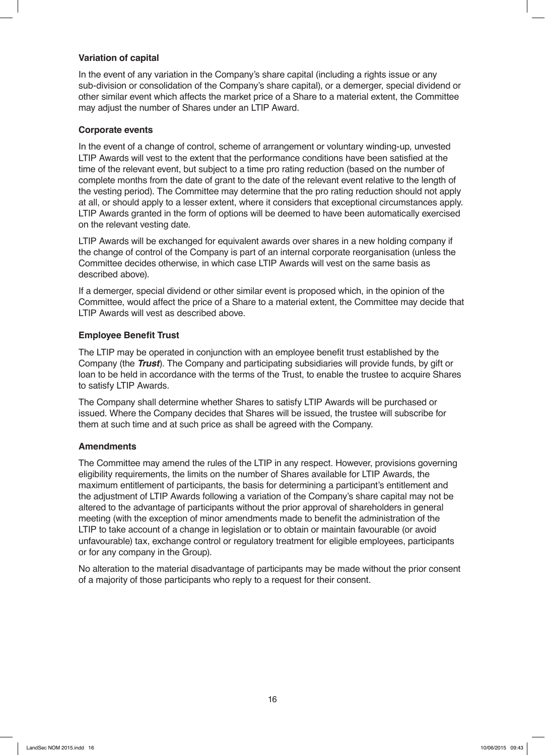## **Variation of capital**

In the event of any variation in the Company's share capital (including a rights issue or any sub-division or consolidation of the Company's share capital), or a demerger, special dividend or other similar event which affects the market price of a Share to a material extent, the Committee may adjust the number of Shares under an LTIP Award.

### **Corporate events**

In the event of a change of control, scheme of arrangement or voluntary winding-up, unvested LTIP Awards will vest to the extent that the performance conditions have been satisfied at the time of the relevant event, but subject to a time pro rating reduction (based on the number of complete months from the date of grant to the date of the relevant event relative to the length of the vesting period). The Committee may determine that the pro rating reduction should not apply at all, or should apply to a lesser extent, where it considers that exceptional circumstances apply. LTIP Awards granted in the form of options will be deemed to have been automatically exercised on the relevant vesting date.

LTIP Awards will be exchanged for equivalent awards over shares in a new holding company if the change of control of the Company is part of an internal corporate reorganisation (unless the Committee decides otherwise, in which case LTIP Awards will vest on the same basis as described above).

If a demerger, special dividend or other similar event is proposed which, in the opinion of the Committee, would affect the price of a Share to a material extent, the Committee may decide that LTIP Awards will vest as described above.

## **Employee Benefit Trust**

The LTIP may be operated in conjunction with an employee benefit trust established by the Company (the *Trust*). The Company and participating subsidiaries will provide funds, by gift or loan to be held in accordance with the terms of the Trust, to enable the trustee to acquire Shares to satisfy LTIP Awards.

The Company shall determine whether Shares to satisfy LTIP Awards will be purchased or issued. Where the Company decides that Shares will be issued, the trustee will subscribe for them at such time and at such price as shall be agreed with the Company.

### **Amendments**

The Committee may amend the rules of the LTIP in any respect. However, provisions governing eligibility requirements, the limits on the number of Shares available for LTIP Awards, the maximum entitlement of participants, the basis for determining a participant's entitlement and the adjustment of LTIP Awards following a variation of the Company's share capital may not be altered to the advantage of participants without the prior approval of shareholders in general meeting (with the exception of minor amendments made to benefit the administration of the LTIP to take account of a change in legislation or to obtain or maintain favourable (or avoid unfavourable) tax, exchange control or regulatory treatment for eligible employees, participants or for any company in the Group).

No alteration to the material disadvantage of participants may be made without the prior consent of a majority of those participants who reply to a request for their consent.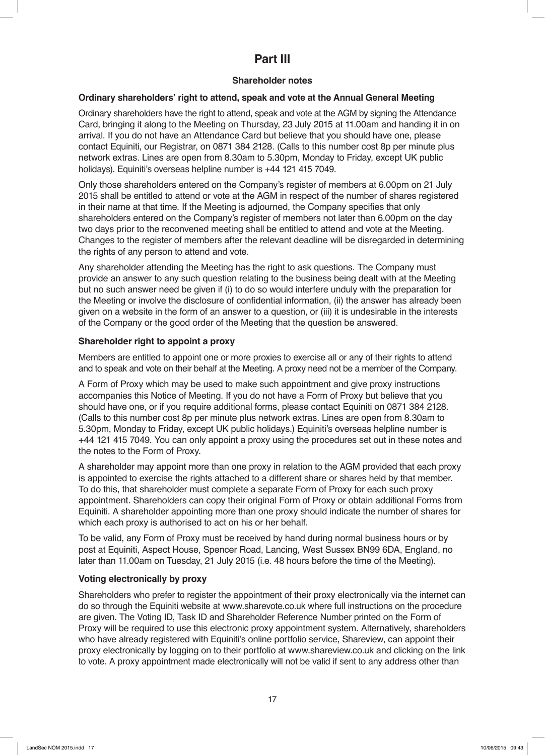# **Part III**

## **Shareholder notes**

### **Ordinary shareholders' right to attend, speak and vote at the Annual General Meeting**

Ordinary shareholders have the right to attend, speak and vote at the AGM by signing the Attendance Card, bringing it along to the Meeting on Thursday, 23 July 2015 at 11.00am and handing it in on arrival. If you do not have an Attendance Card but believe that you should have one, please contact Equiniti, our Registrar, on 0871 384 2128. (Calls to this number cost 8p per minute plus network extras. Lines are open from 8.30am to 5.30pm, Monday to Friday, except UK public holidays). Equiniti's overseas helpline number is +44 121 415 7049.

Only those shareholders entered on the Company's register of members at 6.00pm on 21 July 2015 shall be entitled to attend or vote at the AGM in respect of the number of shares registered in their name at that time. If the Meeting is adjourned, the Company specifies that only shareholders entered on the Company's register of members not later than 6.00pm on the day two days prior to the reconvened meeting shall be entitled to attend and vote at the Meeting. Changes to the register of members after the relevant deadline will be disregarded in determining the rights of any person to attend and vote.

Any shareholder attending the Meeting has the right to ask questions. The Company must provide an answer to any such question relating to the business being dealt with at the Meeting but no such answer need be given if (i) to do so would interfere unduly with the preparation for the Meeting or involve the disclosure of confidential information, (ii) the answer has already been given on a website in the form of an answer to a question, or (iii) it is undesirable in the interests of the Company or the good order of the Meeting that the question be answered.

### **Shareholder right to appoint a proxy**

Members are entitled to appoint one or more proxies to exercise all or any of their rights to attend and to speak and vote on their behalf at the Meeting. A proxy need not be a member of the Company.

A Form of Proxy which may be used to make such appointment and give proxy instructions accompanies this Notice of Meeting. If you do not have a Form of Proxy but believe that you should have one, or if you require additional forms, please contact Equiniti on 0871 384 2128. (Calls to this number cost 8p per minute plus network extras. Lines are open from 8.30am to 5.30pm, Monday to Friday, except UK public holidays.) Equiniti's overseas helpline number is +44 121 415 7049. You can only appoint a proxy using the procedures set out in these notes and the notes to the Form of Proxy.

A shareholder may appoint more than one proxy in relation to the AGM provided that each proxy is appointed to exercise the rights attached to a different share or shares held by that member. To do this, that shareholder must complete a separate Form of Proxy for each such proxy appointment. Shareholders can copy their original Form of Proxy or obtain additional Forms from Equiniti. A shareholder appointing more than one proxy should indicate the number of shares for which each proxy is authorised to act on his or her behalf.

To be valid, any Form of Proxy must be received by hand during normal business hours or by post at Equiniti, Aspect House, Spencer Road, Lancing, West Sussex BN99 6DA, England, no later than 11.00am on Tuesday, 21 July 2015 (i.e. 48 hours before the time of the Meeting).

### **Voting electronically by proxy**

Shareholders who prefer to register the appointment of their proxy electronically via the internet can do so through the Equiniti website at www.sharevote.co.uk where full instructions on the procedure are given. The Voting ID, Task ID and Shareholder Reference Number printed on the Form of Proxy will be required to use this electronic proxy appointment system. Alternatively, shareholders who have already registered with Equiniti's online portfolio service, Shareview, can appoint their proxy electronically by logging on to their portfolio at www.shareview.co.uk and clicking on the link to vote. A proxy appointment made electronically will not be valid if sent to any address other than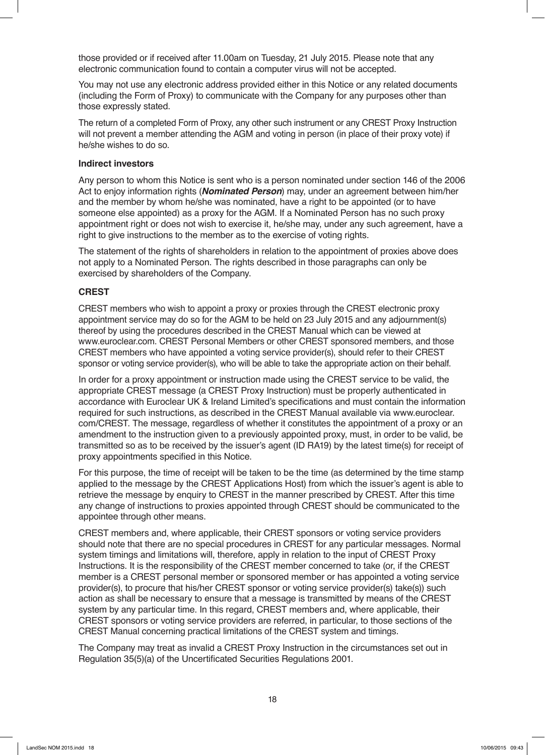those provided or if received after 11.00am on Tuesday, 21 July 2015. Please note that any electronic communication found to contain a computer virus will not be accepted.

You may not use any electronic address provided either in this Notice or any related documents (including the Form of Proxy) to communicate with the Company for any purposes other than those expressly stated.

The return of a completed Form of Proxy, any other such instrument or any CREST Proxy Instruction will not prevent a member attending the AGM and voting in person (in place of their proxy vote) if he/she wishes to do so.

### **Indirect investors**

Any person to whom this Notice is sent who is a person nominated under section 146 of the 2006 Act to enjoy information rights (*Nominated Person*) may, under an agreement between him/her and the member by whom he/she was nominated, have a right to be appointed (or to have someone else appointed) as a proxy for the AGM. If a Nominated Person has no such proxy appointment right or does not wish to exercise it, he/she may, under any such agreement, have a right to give instructions to the member as to the exercise of voting rights.

The statement of the rights of shareholders in relation to the appointment of proxies above does not apply to a Nominated Person. The rights described in those paragraphs can only be exercised by shareholders of the Company.

### **CREST**

CREST members who wish to appoint a proxy or proxies through the CREST electronic proxy appointment service may do so for the AGM to be held on 23 July 2015 and any adjournment(s) thereof by using the procedures described in the CREST Manual which can be viewed at www.euroclear.com. CREST Personal Members or other CREST sponsored members, and those CREST members who have appointed a voting service provider(s), should refer to their CREST sponsor or voting service provider(s), who will be able to take the appropriate action on their behalf.

In order for a proxy appointment or instruction made using the CREST service to be valid, the appropriate CREST message (a CREST Proxy Instruction) must be properly authenticated in accordance with Euroclear UK & Ireland Limited's specifications and must contain the information required for such instructions, as described in the CREST Manual available via www.euroclear. com/CREST. The message, regardless of whether it constitutes the appointment of a proxy or an amendment to the instruction given to a previously appointed proxy, must, in order to be valid, be transmitted so as to be received by the issuer's agent (ID RA19) by the latest time(s) for receipt of proxy appointments specified in this Notice.

For this purpose, the time of receipt will be taken to be the time (as determined by the time stamp applied to the message by the CREST Applications Host) from which the issuer's agent is able to retrieve the message by enquiry to CREST in the manner prescribed by CREST. After this time any change of instructions to proxies appointed through CREST should be communicated to the appointee through other means.

CREST members and, where applicable, their CREST sponsors or voting service providers should note that there are no special procedures in CREST for any particular messages. Normal system timings and limitations will, therefore, apply in relation to the input of CREST Proxy Instructions. It is the responsibility of the CREST member concerned to take (or, if the CREST member is a CREST personal member or sponsored member or has appointed a voting service provider(s), to procure that his/her CREST sponsor or voting service provider(s) take(s)) such action as shall be necessary to ensure that a message is transmitted by means of the CREST system by any particular time. In this regard, CREST members and, where applicable, their CREST sponsors or voting service providers are referred, in particular, to those sections of the CREST Manual concerning practical limitations of the CREST system and timings.

The Company may treat as invalid a CREST Proxy Instruction in the circumstances set out in Regulation 35(5)(a) of the Uncertificated Securities Regulations 2001.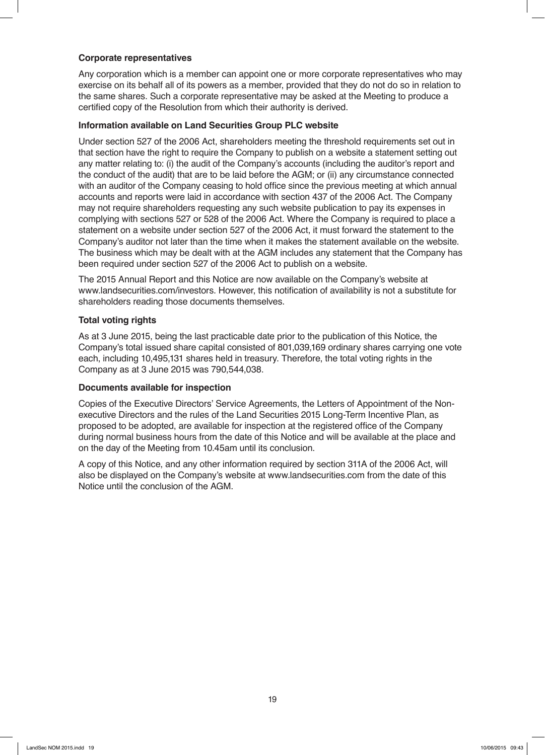### **Corporate representatives**

Any corporation which is a member can appoint one or more corporate representatives who may exercise on its behalf all of its powers as a member, provided that they do not do so in relation to the same shares. Such a corporate representative may be asked at the Meeting to produce a certified copy of the Resolution from which their authority is derived.

### **Information available on Land Securities Group PLC website**

Under section 527 of the 2006 Act, shareholders meeting the threshold requirements set out in that section have the right to require the Company to publish on a website a statement setting out any matter relating to: (i) the audit of the Company's accounts (including the auditor's report and the conduct of the audit) that are to be laid before the AGM; or (ii) any circumstance connected with an auditor of the Company ceasing to hold office since the previous meeting at which annual accounts and reports were laid in accordance with section 437 of the 2006 Act. The Company may not require shareholders requesting any such website publication to pay its expenses in complying with sections 527 or 528 of the 2006 Act. Where the Company is required to place a statement on a website under section 527 of the 2006 Act, it must forward the statement to the Company's auditor not later than the time when it makes the statement available on the website. The business which may be dealt with at the AGM includes any statement that the Company has been required under section 527 of the 2006 Act to publish on a website.

The 2015 Annual Report and this Notice are now available on the Company's website at www.landsecurities.com/investors. However, this notification of availability is not a substitute for shareholders reading those documents themselves.

## **Total voting rights**

As at 3 June 2015, being the last practicable date prior to the publication of this Notice, the Company's total issued share capital consisted of 801,039,169 ordinary shares carrying one vote each, including 10,495,131 shares held in treasury. Therefore, the total voting rights in the Company as at 3 June 2015 was 790,544,038.

## **Documents available for inspection**

Copies of the Executive Directors' Service Agreements, the Letters of Appointment of the Nonexecutive Directors and the rules of the Land Securities 2015 Long-Term Incentive Plan, as proposed to be adopted, are available for inspection at the registered office of the Company during normal business hours from the date of this Notice and will be available at the place and on the day of the Meeting from 10.45am until its conclusion.

A copy of this Notice, and any other information required by section 311A of the 2006 Act, will also be displayed on the Company's website at www.landsecurities.com from the date of this Notice until the conclusion of the AGM.